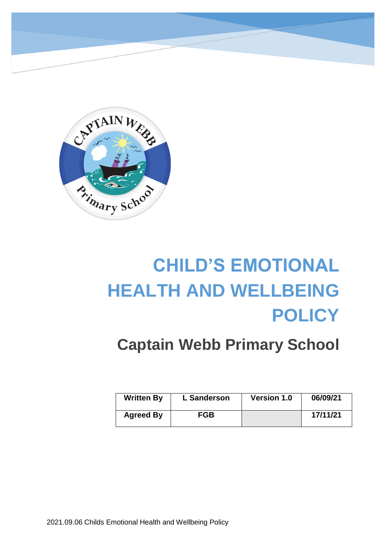

# **CHILD'S EMOTIONAL HEALTH AND WELLBEING POLICY**

## **Captain Webb Primary School**

| <b>Written By</b> | L Sanderson | <b>Version 1.0</b> | 06/09/21 |
|-------------------|-------------|--------------------|----------|
| <b>Agreed By</b>  | <b>FGB</b>  |                    | 17/11/21 |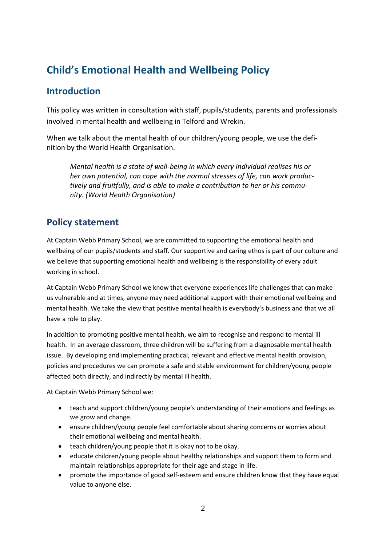## **Child's Emotional Health and Wellbeing Policy**

## **Introduction**

This policy was written in consultation with staff, pupils/students, parents and professionals involved in mental health and wellbeing in Telford and Wrekin.

When we talk about the mental health of our children/young people, we use the definition by the World Health Organisation.

*Mental health is a state of well-being in which every individual realises his or her own potential, can cope with the normal stresses of life, can work productively and fruitfully, and is able to make a contribution to her or his community. (World Health Organisation)*

## **Policy statement**

At Captain Webb Primary School, we are committed to supporting the emotional health and wellbeing of our pupils/students and staff. Our supportive and caring ethos is part of our culture and we believe that supporting emotional health and wellbeing is the responsibility of every adult working in school.

At Captain Webb Primary School we know that everyone experiences life challenges that can make us vulnerable and at times, anyone may need additional support with their emotional wellbeing and mental health. We take the view that positive mental health is everybody's business and that we all have a role to play.

In addition to promoting positive mental health, we aim to recognise and respond to mental ill health. In an average classroom, three children will be suffering from a diagnosable mental health issue. By developing and implementing practical, relevant and effective mental health provision, policies and procedures we can promote a safe and stable environment for children/young people affected both directly, and indirectly by mental ill health.

At Captain Webb Primary School we:

- teach and support children/young people's understanding of their emotions and feelings as we grow and change.
- ensure children/young people feel comfortable about sharing concerns or worries about their emotional wellbeing and mental health.
- teach children/young people that it is okay not to be okay.
- educate children/young people about healthy relationships and support them to form and maintain relationships appropriate for their age and stage in life.
- promote the importance of good self-esteem and ensure children know that they have equal value to anyone else.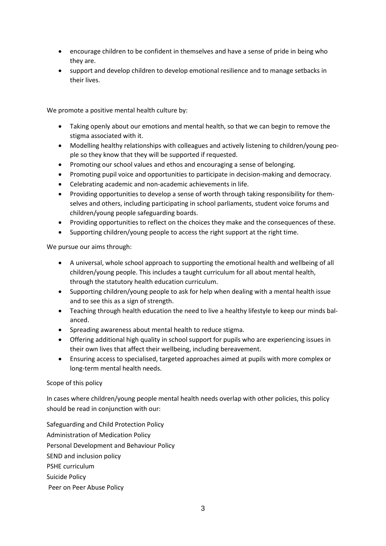- encourage children to be confident in themselves and have a sense of pride in being who they are.
- support and develop children to develop emotional resilience and to manage setbacks in their lives.

We promote a positive mental health culture by:

- Taking openly about our emotions and mental health, so that we can begin to remove the stigma associated with it.
- Modelling healthy relationships with colleagues and actively listening to children/young people so they know that they will be supported if requested.
- Promoting our school values and ethos and encouraging a sense of belonging.
- Promoting pupil voice and opportunities to participate in decision-making and democracy.
- Celebrating academic and non-academic achievements in life.
- Providing opportunities to develop a sense of worth through taking responsibility for themselves and others, including participating in school parliaments, student voice forums and children/young people safeguarding boards.
- Providing opportunities to reflect on the choices they make and the consequences of these.
- Supporting children/young people to access the right support at the right time.

We pursue our aims through:

- A universal, whole school approach to supporting the emotional health and wellbeing of all children/young people. This includes a taught curriculum for all about mental health, through the statutory health education curriculum.
- Supporting children/young people to ask for help when dealing with a mental health issue and to see this as a sign of strength.
- Teaching through health education the need to live a healthy lifestyle to keep our minds balanced.
- Spreading awareness about mental health to reduce stigma.
- Offering additional high quality in school support for pupils who are experiencing issues in their own lives that affect their wellbeing, including bereavement.
- Ensuring access to specialised, targeted approaches aimed at pupils with more complex or long-term mental health needs.

#### Scope of this policy

In cases where children/young people mental health needs overlap with other policies, this policy should be read in conjunction with our:

Safeguarding and Child Protection Policy Administration of Medication Policy Personal Development and Behaviour Policy SEND and inclusion policy PSHE curriculum Suicide Policy Peer on Peer Abuse Policy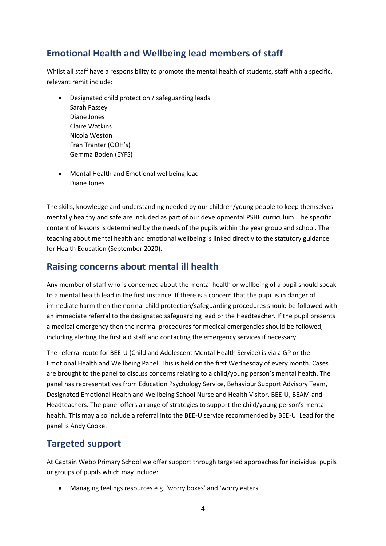## **Emotional Health and Wellbeing lead members of staff**

Whilst all staff have a responsibility to promote the mental health of students, staff with a specific, relevant remit include:

- Designated child protection / safeguarding leads Sarah Passey Diane Jones Claire Watkins Nicola Weston Fran Tranter (OOH's) Gemma Boden (EYFS)
- Mental Health and Emotional wellbeing lead Diane Jones

The skills, knowledge and understanding needed by our children/young people to keep themselves mentally healthy and safe are included as part of our developmental PSHE curriculum. The specific content of lessons is determined by the needs of the pupils within the year group and school. The teaching about mental health and emotional wellbeing is linked directly to the statutory guidance for Health Education (September 2020).

#### **Raising concerns about mental ill health**

Any member of staff who is concerned about the mental health or wellbeing of a pupil should speak to a mental health lead in the first instance. If there is a concern that the pupil is in danger of immediate harm then the normal child protection/safeguarding procedures should be followed with an immediate referral to the designated safeguarding lead or the Headteacher. If the pupil presents a medical emergency then the normal procedures for medical emergencies should be followed, including alerting the first aid staff and contacting the emergency services if necessary.

The referral route for BEE-U (Child and Adolescent Mental Health Service) is via a GP or the Emotional Health and Wellbeing Panel. This is held on the first Wednesday of every month. Cases are brought to the panel to discuss concerns relating to a child/young person's mental health. The panel has representatives from Education Psychology Service, Behaviour Support Advisory Team, Designated Emotional Health and Wellbeing School Nurse and Health Visitor, BEE-U, BEAM and Headteachers. The panel offers a range of strategies to support the child/young person's mental health. This may also include a referral into the BEE-U service recommended by BEE-U. Lead for the panel is Andy Cooke.

## **Targeted support**

At Captain Webb Primary School we offer support through targeted approaches for individual pupils or groups of pupils which may include:

Managing feelings resources e.g. 'worry boxes' and 'worry eaters'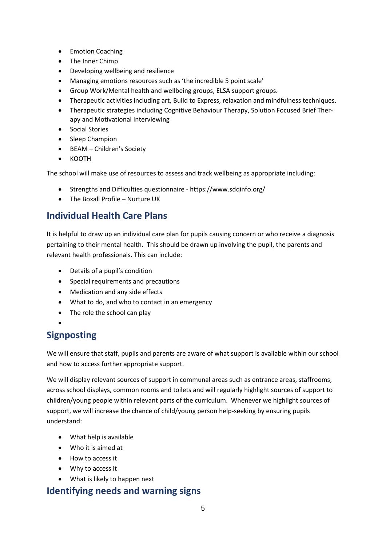- Emotion Coaching
- The Inner Chimp
- Developing wellbeing and resilience
- Managing emotions resources such as 'the incredible 5 point scale'
- Group Work/Mental health and wellbeing groups, ELSA support groups.
- Therapeutic activities including art, Build to Express, relaxation and mindfulness techniques.
- Therapeutic strategies including Cognitive Behaviour Therapy, Solution Focused Brief Therapy and Motivational Interviewing
- Social Stories
- Sleep Champion
- BEAM Children's Society
- KOOTH

The school will make use of resources to assess and track wellbeing as appropriate including:

- Strengths and Difficulties questionnaire https://www.sdqinfo.org/
- The Boxall Profile Nurture UK

#### **Individual Health Care Plans**

It is helpful to draw up an individual care plan for pupils causing concern or who receive a diagnosis pertaining to their mental health. This should be drawn up involving the pupil, the parents and relevant health professionals. This can include:

- Details of a pupil's condition
- Special requirements and precautions
- Medication and any side effects
- What to do, and who to contact in an emergency
- The role the school can play
- $\bullet$

## **Signposting**

We will ensure that staff, pupils and parents are aware of what support is available within our school and how to access further appropriate support.

We will display relevant sources of support in communal areas such as entrance areas, staffrooms, across school displays, common rooms and toilets and will regularly highlight sources of support to children/young people within relevant parts of the curriculum. Whenever we highlight sources of support, we will increase the chance of child/young person help-seeking by ensuring pupils understand:

- What help is available
- Who it is aimed at
- How to access it
- Why to access it
- What is likely to happen next

#### **Identifying needs and warning signs**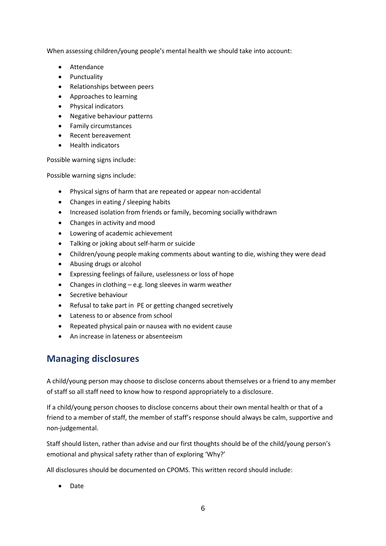When assessing children/young people's mental health we should take into account:

- Attendance
- Punctuality
- Relationships between peers
- Approaches to learning
- Physical indicators
- Negative behaviour patterns
- Family circumstances
- Recent bereavement
- Health indicators

Possible warning signs include:

Possible warning signs include:

- Physical signs of harm that are repeated or appear non-accidental
- Changes in eating / sleeping habits
- Increased isolation from friends or family, becoming socially withdrawn
- Changes in activity and mood
- Lowering of academic achievement
- Talking or joking about self-harm or suicide
- Children/young people making comments about wanting to die, wishing they were dead
- Abusing drugs or alcohol
- Expressing feelings of failure, uselessness or loss of hope
- Changes in clothing e.g. long sleeves in warm weather
- Secretive behaviour
- Refusal to take part in PE or getting changed secretively
- Lateness to or absence from school
- Repeated physical pain or nausea with no evident cause
- An increase in lateness or absenteeism

#### **Managing disclosures**

A child/young person may choose to disclose concerns about themselves or a friend to any member of staff so all staff need to know how to respond appropriately to a disclosure.

If a child/young person chooses to disclose concerns about their own mental health or that of a friend to a member of staff, the member of staff's response should always be calm, supportive and non-judgemental.

Staff should listen, rather than advise and our first thoughts should be of the child/young person's emotional and physical safety rather than of exploring 'Why?'

All disclosures should be documented on CPOMS. This written record should include:

• Date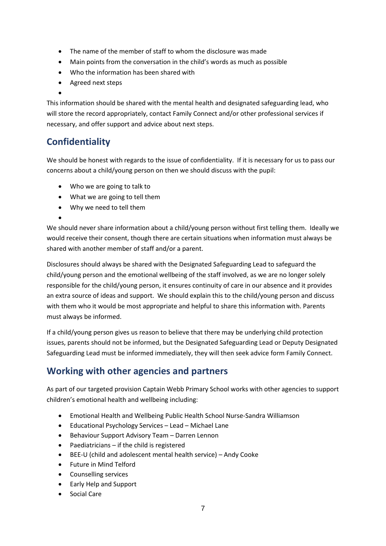- The name of the member of staff to whom the disclosure was made
- Main points from the conversation in the child's words as much as possible
- Who the information has been shared with
- Agreed next steps

 $\bullet$ This information should be shared with the mental health and designated safeguarding lead, who will store the record appropriately, contact Family Connect and/or other professional services if necessary, and offer support and advice about next steps.

## **Confidentiality**

We should be honest with regards to the issue of confidentiality. If it is necessary for us to pass our concerns about a child/young person on then we should discuss with the pupil:

- Who we are going to talk to
- What we are going to tell them
- Why we need to tell them

 $\bullet$ We should never share information about a child/young person without first telling them. Ideally we would receive their consent, though there are certain situations when information must always be shared with another member of staff and/or a parent.

Disclosures should always be shared with the Designated Safeguarding Lead to safeguard the child/young person and the emotional wellbeing of the staff involved, as we are no longer solely responsible for the child/young person, it ensures continuity of care in our absence and it provides an extra source of ideas and support. We should explain this to the child/young person and discuss with them who it would be most appropriate and helpful to share this information with. Parents must always be informed.

If a child/young person gives us reason to believe that there may be underlying child protection issues, parents should not be informed, but the Designated Safeguarding Lead or Deputy Designated Safeguarding Lead must be informed immediately, they will then seek advice form Family Connect.

## **Working with other agencies and partners**

As part of our targeted provision Captain Webb Primary School works with other agencies to support children's emotional health and wellbeing including:

- Emotional Health and Wellbeing Public Health School Nurse-Sandra Williamson
- Educational Psychology Services Lead Michael Lane
- Behaviour Support Advisory Team Darren Lennon
- $\bullet$  Paediatricians if the child is registered
- BEE-U (child and adolescent mental health service) Andy Cooke
- Future in Mind Telford
- Counselling services
- Early Help and Support
- Social Care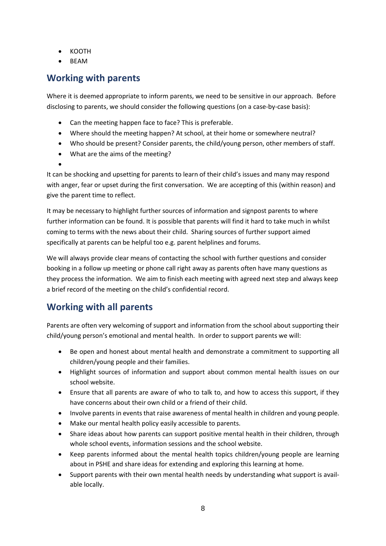- KOOTH
- BEAM

#### **Working with parents**

Where it is deemed appropriate to inform parents, we need to be sensitive in our approach. Before disclosing to parents, we should consider the following questions (on a case-by-case basis):

- Can the meeting happen face to face? This is preferable.
- Where should the meeting happen? At school, at their home or somewhere neutral?
- Who should be present? Consider parents, the child/young person, other members of staff.
- What are the aims of the meeting?
- $\bullet$

It can be shocking and upsetting for parents to learn of their child's issues and many may respond with anger, fear or upset during the first conversation. We are accepting of this (within reason) and give the parent time to reflect.

It may be necessary to highlight further sources of information and signpost parents to where further information can be found. It is possible that parents will find it hard to take much in whilst coming to terms with the news about their child. Sharing sources of further support aimed specifically at parents can be helpful too e.g. parent helplines and forums.

We will always provide clear means of contacting the school with further questions and consider booking in a follow up meeting or phone call right away as parents often have many questions as they process the information. We aim to finish each meeting with agreed next step and always keep a brief record of the meeting on the child's confidential record.

## **Working with all parents**

Parents are often very welcoming of support and information from the school about supporting their child/young person's emotional and mental health. In order to support parents we will:

- Be open and honest about mental health and demonstrate a commitment to supporting all children/young people and their families.
- Highlight sources of information and support about common mental health issues on our school website.
- Ensure that all parents are aware of who to talk to, and how to access this support, if they have concerns about their own child or a friend of their child.
- Involve parents in events that raise awareness of mental health in children and young people.
- Make our mental health policy easily accessible to parents.
- Share ideas about how parents can support positive mental health in their children, through whole school events, information sessions and the school website.
- Keep parents informed about the mental health topics children/young people are learning about in PSHE and share ideas for extending and exploring this learning at home.
- Support parents with their own mental health needs by understanding what support is available locally.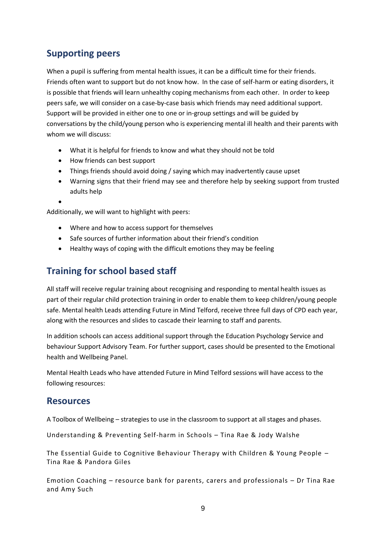## **Supporting peers**

When a pupil is suffering from mental health issues, it can be a difficult time for their friends. Friends often want to support but do not know how. In the case of self-harm or eating disorders, it is possible that friends will learn unhealthy coping mechanisms from each other. In order to keep peers safe, we will consider on a case-by-case basis which friends may need additional support. Support will be provided in either one to one or in-group settings and will be guided by conversations by the child/young person who is experiencing mental ill health and their parents with whom we will discuss:

- What it is helpful for friends to know and what they should not be told
- How friends can best support
- Things friends should avoid doing / saying which may inadvertently cause upset
- Warning signs that their friend may see and therefore help by seeking support from trusted adults help
- $\bullet$

Additionally, we will want to highlight with peers:

- Where and how to access support for themselves
- Safe sources of further information about their friend's condition
- Healthy ways of coping with the difficult emotions they may be feeling

## **Training for school based staff**

All staff will receive regular training about recognising and responding to mental health issues as part of their regular child protection training in order to enable them to keep children/young people safe. Mental health Leads attending Future in Mind Telford, receive three full days of CPD each year, along with the resources and slides to cascade their learning to staff and parents.

In addition schools can access additional support through the Education Psychology Service and behaviour Support Advisory Team. For further support, cases should be presented to the Emotional health and Wellbeing Panel.

Mental Health Leads who have attended Future in Mind Telford sessions will have access to the following resources:

#### **Resources**

A Toolbox of Wellbeing – strategies to use in the classroom to support at all stages and phases.

Understanding & Preventing Self-harm in Schools – Tina Rae & Jody Walshe

The Essential Guide to Cognitive Behaviour Therapy with Children & Young People – Tina Rae & Pandora Giles

Emotion Coaching – resource bank for parents, carers and professionals – Dr Tina Rae and Amy Such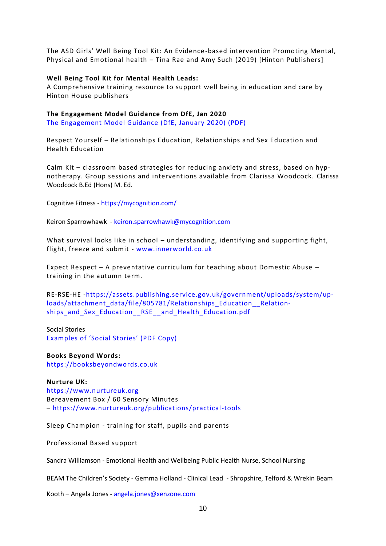The ASD Girls' Well Being Tool Kit: An Evidence-based intervention Promoting Mental, Physical and Emotional health – Tina Rae and Amy Such (2019) [Hinton Publishers]

#### **Well Being Tool Kit for Mental Health Leads:**

A Comprehensive training resource to support well being in education and care by Hinton House publishers

#### **The Engagement Model Guidance from DfE, Jan 2020**

[The Engagement Model Guidance \(DfE, January 2020\) \(PDF\)](https://www.evidenceforlearning.net/wp-content/uploads/2020/06/The_engagement_model_guidance_for_maintained_schools_academies_free_schools_and_local_authorities.pdf)

Respect Yourself – Relationships Education, Relationships and Sex Education and Health Education

Calm Kit – classroom based strategies for reducing anxiety and stress, based on hypnotherapy. Group sessions and interventions available from Clarissa Woodcock. Clarissa Woodcock B.Ed (Hons) M. Ed.

Cognitive Fitness - <https://mycognition.com/>

Keiron Sparrowhawk - [keiron.sparrowhawk@mycognition.com](mailto:keiron.sparrowhawk@mycognition.com)

What survival looks like in school – understanding, identifying and supporting fight, flight, freeze and submit - [www.innerworld.co.uk](http://www.innerworld.co.uk/)

Expect Respect – A preventative curriculum for teaching about Domestic Abuse – training in the autumn term.

RE-RSE-HE [-https://assets.publishing.service.gov.uk/government/uploads/system/up](https://assets.publishing.service.gov.uk/government/uploads/system/uploads/attachment_data/file/805781/Relationships_Education__Relationships_and_Sex_Education__RSE__)loads/attachment\_data/file/805781/Relationships\_Education \_\_ Relationships and Sex Education RSE and Health Education.pdf

Social Stories [Examples of 'Social Stories' \(PDF Copy\)](https://www.evidenceforlearning.net/wp-content/uploads/2020/05/Social-Stories-Examples-Bev-Cockbill-Recovery-Curriculum-LearningShared-Ep-7.pdf)

**Books Beyond Words:** [https://booksbeyondwords.co.uk](https://booksbeyondwords.co.uk/)

**Nurture UK:** [https://www.nurtureuk.org](https://www.nurtureuk.org/) Bereavement Box / 60 Sensory Minutes – <https://www.nurtureuk.org/publications/practical-tools>

Sleep Champion - training for staff, pupils and parents

Professional Based support

Sandra Williamson - Emotional Health and Wellbeing Public Health Nurse, School Nursing

BEAM The Children's Society - Gemma Holland - Clinical Lead - Shropshire, Telford & Wrekin Beam

Kooth – Angela Jones - [angela.jones@xenzone.com](mailto:angela.jones@xenzone.com)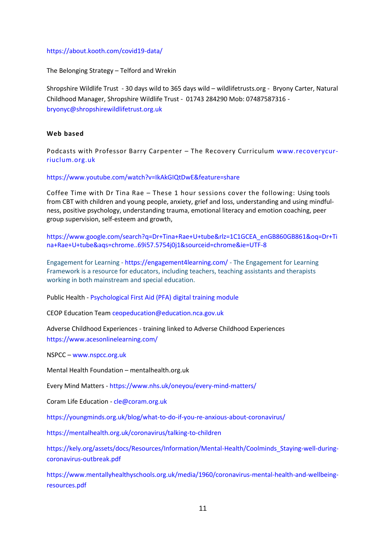#### <https://about.kooth.com/covid19-data/>

The Belonging Strategy – Telford and Wrekin

Shropshire Wildlife Trust - 30 days wild to 365 days wild – wildlifetrusts.org - Bryony Carter, Natural Childhood Manager, Shropshire Wildlife Trust - 01743 284290 Mob: 07487587316 [bryonyc@shropshirewildlifetrust.org.uk](mailto:bryonyc@shropshirewildlifetrust.org.uk)

#### **Web based**

Podcasts with Professor Barry Carpenter – The Recovery Curriculum [www.recoverycur](http://www.recoverycurriuclum.org.uk/)[riuclum.org.uk](http://www.recoverycurriuclum.org.uk/)

#### <https://www.youtube.com/watch?v=IkAkGIQtDwE&feature=share>

Coffee Time with Dr Tina Rae – These 1 hour sessions cover the following: Using tools from CBT with children and young people, anxiety, grief and loss, understanding and using mindfulness, positive psychology, understanding trauma, emotional literacy and emotion coaching, peer group supervision, self-esteem and growth,

[https://www.google.com/search?q=Dr+Tina+Rae+U+tube&rlz=1C1GCEA\\_enGB860GB861&oq=Dr+Ti](https://www.google.com/search?q=Dr+Tina+Rae+U+tube&rlz=1C1GCEA_enGB860GB861&oq=Dr+Tina+Rae+U+tube&aqs=chrome..69i57.5754j0j1&sourceid=chrome&ie=UTF-8) [na+Rae+U+tube&aqs=chrome..69i57.5754j0j1&sourceid=chrome&ie=UTF-8](https://www.google.com/search?q=Dr+Tina+Rae+U+tube&rlz=1C1GCEA_enGB860GB861&oq=Dr+Tina+Rae+U+tube&aqs=chrome..69i57.5754j0j1&sourceid=chrome&ie=UTF-8)

Engagement for Learning - <https://engagement4learning.com/> - The Engagement for Learning Framework is a resource for educators, including teachers, teaching assistants and therapists working in both mainstream and special education.

Public Health - [Psychological First Aid \(PFA\) digital training module](https://www.futurelearn.com/courses/psychological-first-aid-covid-19/1)

CEOP Education Team [ceopeducation@education.nca.gov.uk](mailto:ceopeducation@education.nca.gov.uk)

Adverse Childhood Experiences - training linked to Adverse Childhood Experiences <https://www.acesonlinelearning.com/>

NSPCC – [www.nspcc.org.uk](http://www.nspcc.org.uk/)

Mental Health Foundation – mentalhealth.org.uk

Every Mind Matters - <https://www.nhs.uk/oneyou/every-mind-matters/>

Coram Life Education - [cle@coram.org.uk](mailto:cle@coram.org.uk)

<https://youngminds.org.uk/blog/what-to-do-if-you-re-anxious-about-coronavirus/>

<https://mentalhealth.org.uk/coronavirus/talking-to-children>

[https://kely.org/assets/docs/Resources/Information/Mental-Health/Coolminds\\_Staying-well-during](https://kely.org/assets/docs/Resources/Information/Mental-Health/Coolminds_Staying-well-during-coronavirus-outbreak.pdf)[coronavirus-outbreak.pdf](https://kely.org/assets/docs/Resources/Information/Mental-Health/Coolminds_Staying-well-during-coronavirus-outbreak.pdf)

[https://www.mentallyhealthyschools.org.uk/media/1960/coronavirus-mental-health-and-wellbeing](https://www.mentallyhealthyschools.org.uk/media/1960/coronavirus-mental-health-and-wellbeing-resources.pdf)[resources.pdf](https://www.mentallyhealthyschools.org.uk/media/1960/coronavirus-mental-health-and-wellbeing-resources.pdf)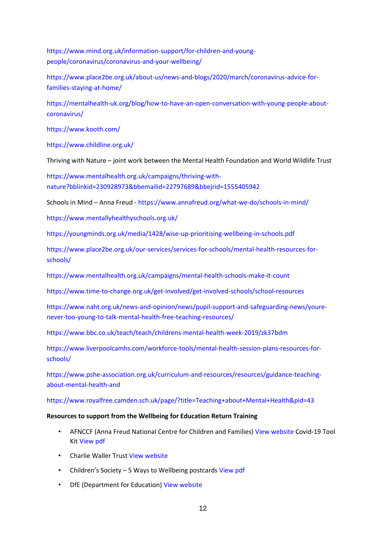[https://www.mind.org.uk/information-support/for-children-and-young](https://www.mind.org.uk/information-support/for-children-and-young-people/coronavirus/coronavirus-and-your-wellbeing/)[people/coronavirus/coronavirus-and-your-wellbeing/](https://www.mind.org.uk/information-support/for-children-and-young-people/coronavirus/coronavirus-and-your-wellbeing/)

[https://www.place2be.org.uk/about-us/news-and-blogs/2020/march/coronavirus-advice-for](https://www.place2be.org.uk/about-us/news-and-blogs/2020/march/coronavirus-advice-for-families-staying-at-home/)[families-staying-at-home/](https://www.place2be.org.uk/about-us/news-and-blogs/2020/march/coronavirus-advice-for-families-staying-at-home/)

[https://mentalhealth-uk.org/blog/how-to-have-an-open-conversation-with-young-people-about](https://mentalhealth-uk.org/blog/how-to-have-an-open-conversation-with-young-people-about-coronavirus/)[coronavirus/](https://mentalhealth-uk.org/blog/how-to-have-an-open-conversation-with-young-people-about-coronavirus/)

<https://www.kooth.com/>

<https://www.childline.org.uk/>

Thriving with Nature – joint work between the Mental Health Foundation and World Wildlife Trust

[https://www.mentalhealth.org.uk/campaigns/thriving-with](https://www.mentalhealth.org.uk/campaigns/thriving-with-nature?bblinkid=230928973&bbemailid=22797689&bbejrid=1555405942)[nature?bblinkid=230928973&bbemailid=22797689&bbejrid=1555405942](https://www.mentalhealth.org.uk/campaigns/thriving-with-nature?bblinkid=230928973&bbemailid=22797689&bbejrid=1555405942)

Schools in Mind – Anna Freud - <https://www.annafreud.org/what-we-do/schools-in-mind/>

<https://www.mentallyhealthyschools.org.uk/>

<https://youngminds.org.uk/media/1428/wise-up-prioritising-wellbeing-in-schools.pdf>

[https://www.place2be.org.uk/our-services/services-for-schools/mental-health-resources-for](https://www.place2be.org.uk/our-services/services-for-schools/mental-health-resources-for-schools/)[schools/](https://www.place2be.org.uk/our-services/services-for-schools/mental-health-resources-for-schools/)

<https://www.mentalhealth.org.uk/campaigns/mental-health-schools-make-it-count>

<https://www.time-to-change.org.uk/get-involved/get-involved-schools/school-resources>

[https://www.naht.org.uk/news-and-opinion/news/pupil-support-and-safeguarding-news/youre](https://www.naht.org.uk/news-and-opinion/news/pupil-support-and-safeguarding-news/youre-never-too-young-to-talk-mental-health-free-teaching-resources/)[never-too-young-to-talk-mental-health-free-teaching-resources/](https://www.naht.org.uk/news-and-opinion/news/pupil-support-and-safeguarding-news/youre-never-too-young-to-talk-mental-health-free-teaching-resources/)

<https://www.bbc.co.uk/teach/teach/childrens-mental-health-week-2019/zk37bdm>

[https://www.liverpoolcamhs.com/workforce-tools/mental-health-session-plans-resources-for](https://www.liverpoolcamhs.com/workforce-tools/mental-health-session-plans-resources-for-schools/)[schools/](https://www.liverpoolcamhs.com/workforce-tools/mental-health-session-plans-resources-for-schools/)

[https://www.pshe-association.org.uk/curriculum-and-resources/resources/guidance-teaching](https://www.pshe-association.org.uk/curriculum-and-resources/resources/guidance-teaching-about-mental-health-and)[about-mental-health-and](https://www.pshe-association.org.uk/curriculum-and-resources/resources/guidance-teaching-about-mental-health-and)

<https://www.royalfree.camden.sch.uk/page/?title=Teaching+about+Mental+Health&pid=43>

#### **Resources to support from the Wellbeing for Education Return Training**

- AFNCCF (Anna Freud National Centre for Children and Families[\) View website](https://www.annafreud.org/) Covid-19 Tool Kit [View pdf](https://www.mentallyhealthyschools.org.uk/resources/coronavirus-resources-for-building-resilience-toolkit-6/?page=1&IssuePageId=12639)
- Charlie Waller Trust [View website](https://www.cwmt.org.uk/)
- Children's Society 5 Ways to Wellbeing postcards [View pdf](https://www.childrenssociety.org.uk/sites/default/files/u130/Ways%20to%20well-being%20postcards%20FINAL%20%282%29.pdf)
- DfE (Department for Education) [View website](https://www.gov.uk/government/organisations/department-for-education)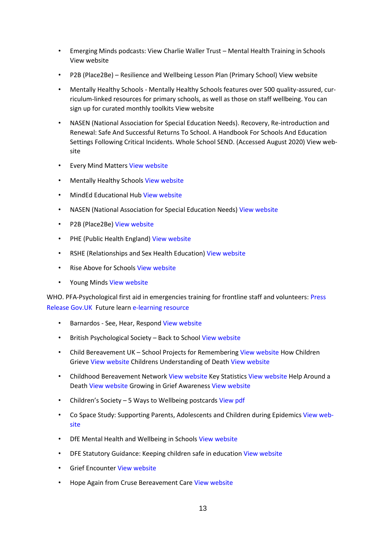- Emerging Minds podcasts: View Charlie Waller Trust Mental Health Training in Schools [View website](https://www.cwmt.org.uk/school-training)
- P2B (Place2Be) Resilience and Wellbeing Lesson Plan (Primary School) [View website](https://www.place2be.org.uk/our-services/services-for-schools/mental-health-resources-for-schools/coronavirus-wellbeing-activity-ideas-for-schools/)
- Mentally Healthy Schools Mentally Healthy Schools features over 500 quality-assured, curriculum-linked resources for primary schools, as well as those on staff wellbeing. You can sign up for curated monthly toolkit[s View website](http://www.mentallyhealthyschools.org.uk/)
- NASEN (National Association for Special Education Needs). Recovery, Re-introduction and Renewal: Safe And Successful Returns To School. A Handbook For Schools And Education Settings Following Critical Incidents. Whole School SEND. (Accessed August 2020) [View web](https://www.sendgateway.org.uk/whole-school-send/find-wss-resources/)[site](https://www.sendgateway.org.uk/whole-school-send/find-wss-resources/)
- **Every Mind Matters [View website](https://www.nhs.uk/oneyou/every-mind-matters/)**
- Mentally Healthy School[s View website](https://www.mentallyhealthyschools.org.uk/)
- MindEd Educational Hub [View website](https://www.minded.org.uk/catalogue/TileView)
- NASEN (National Association for Special Education Needs) [View website](https://nasen.org.uk/)
- P2B (Place2Be[\) View website](https://www.place2be.org.uk/)
- PHE (Public Health England[\) View website](https://www.gov.uk/government/organisations/public-health-england)
- RSHE (Relationships and Sex Health Education) [View website](https://assets.publishing.service.gov.uk/government/uploads/system/uploads/attachment_data/file/908013/Relationships_Education__Relationships_and_Sex_Education__RSE__and_Health_Education.pdf)
- Rise Above for School[s View website](https://campaignresources.phe.gov.uk/schools/topics/rise-above/overview)
- Young Mind[s View website](https://youngminds.org.uk/)

WHO. PFA-Psychological first aid in emergencies training for frontline staff and volunteers: [Press](https://www.gov.uk/government/news/psychological-first-aid-in-emergencies-training-for-frontline-staff-and-volunteers)  [Release Gov.UK](https://www.gov.uk/government/news/psychological-first-aid-in-emergencies-training-for-frontline-staff-and-volunteers) Future lear[n e-learning resource](https://www.futurelearn.com/courses/psychological-first-aid-covid-19/1?utm_campaign=fl_phecovidpsych_2020&utm_medium=futurelearn_organic_pressrelease&utm_source=fl_pr_outreach)

- Barnardos See, Hear, Respon[d View website](https://www.barnardos.org.uk/see-hear-respond)
- British Psychological Society Back to Schoo[l View website](https://www.bps.org.uk/coronavirus-resources/public/back-to-school)
- Child Bereavement UK School Projects for Rememberin[g View website](https://www.childbereavementuk.org/information-school-projects-for-remembering) How Children Griev[e View website](https://www.childbereavementuk.org/information-how-children-grieve) Childrens Understanding of Death [View website](https://www.childbereavementuk.org/information-childrens-understanding-of-death)
- Childhood Bereavement Network [View website](http://www.childhoodbereavementnetwork.org.uk/home.aspx) Key Statistics [View website](http://www.childhoodbereavementnetwork.org.uk/research/key-statistics.aspx) Help Around a Death [View website](http://www.childhoodbereavementnetwork.org.uk/help-around-a-death/find-help-near-you.aspx) Growing in Grief Awarenes[s View website](http://www.childhoodbereavementnetwork.org.uk/campaigns/growing-in-grief-awareness.aspx)
- Children's Society 5 Ways to Wellbeing postcards [View pdf](https://www.childrenssociety.org.uk/sites/default/files/u130/Ways%20to%20well-being%20postcards%20FINAL%20%282%29.pdf)
- Co Space Study: Supporting Parents, Adolescents and Children during Epidemic[s View web](https://www.psy.ox.ac.uk/research/topic-research-group/supporting-parents-adolescents-and-children-during-epidemics)[site](https://www.psy.ox.ac.uk/research/topic-research-group/supporting-parents-adolescents-and-children-during-epidemics)
- DfE Mental Health and Wellbeing in School[s View website](https://www.gov.uk/government/publications/mental-health-and-wellbeing-provision-in-schools)
- DFE Statutory Guidance: Keeping children safe in educatio[n View website](https://www.gov.uk/government/publications/mental-health-and-wellbeing-provision-in-schools)
- **Grief Encounter [View website](https://www.griefencounter.org.uk/young-people/)**
- Hope Again from Cruse Bereavement Car[e View website](http://hopeagain.org.uk/)